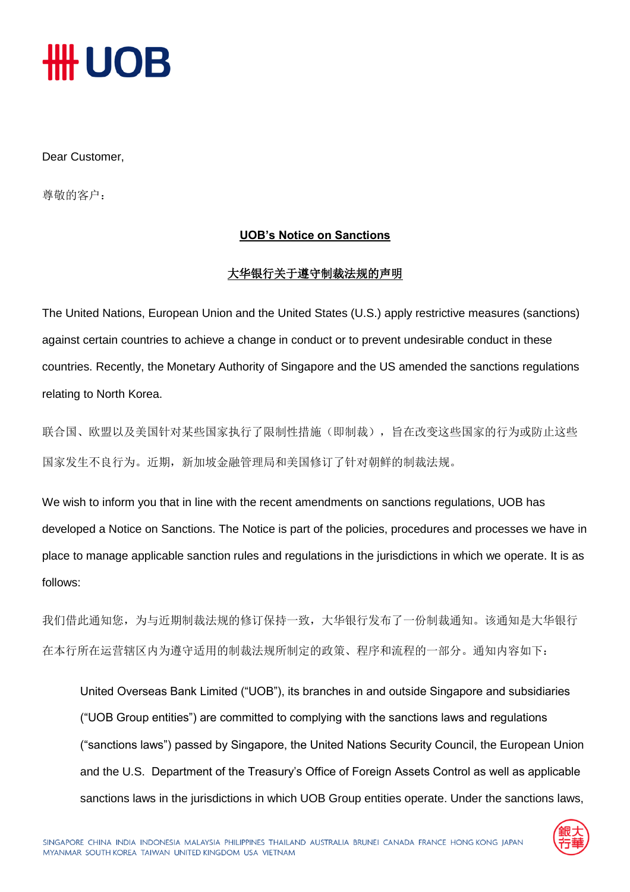# **₩UOB**

#### Dear Customer,

尊敬的客户:

#### **UOB's Notice on Sanctions**

#### 大华银行关于遵守制裁法规的声明

The United Nations, European Union and the United States (U.S.) apply restrictive measures (sanctions) against certain countries to achieve a change in conduct or to prevent undesirable conduct in these countries. Recently, the Monetary Authority of Singapore and the US amended the sanctions regulations relating to North Korea.

联合国、欧盟以及美国针对某些国家执行了限制性措施(即制裁),旨在改变这些国家的行为或防止这些 国家发生不良行为。近期,新加坡金融管理局和美国修订了针对朝鲜的制裁法规。

We wish to inform you that in line with the recent amendments on sanctions regulations, UOB has developed a Notice on Sanctions. The Notice is part of the policies, procedures and processes we have in place to manage applicable sanction rules and regulations in the jurisdictions in which we operate. It is as follows:

我们借此通知您,为与近期制裁法规的修订保持一致,大华银行发布了一份制裁通知。该通知是大华银行 在本行所在运营辖区内为遵守适用的制裁法规所制定的政策、程序和流程的一部分。通知内容如下:

United Overseas Bank Limited ("UOB"), its branches in and outside Singapore and subsidiaries ("UOB Group entities") are committed to complying with the sanctions laws and regulations ("sanctions laws") passed by Singapore, the United Nations Security Council, the European Union and the U.S. Department of the Treasury's Office of Foreign Assets Control as well as applicable sanctions laws in the jurisdictions in which UOB Group entities operate. Under the sanctions laws,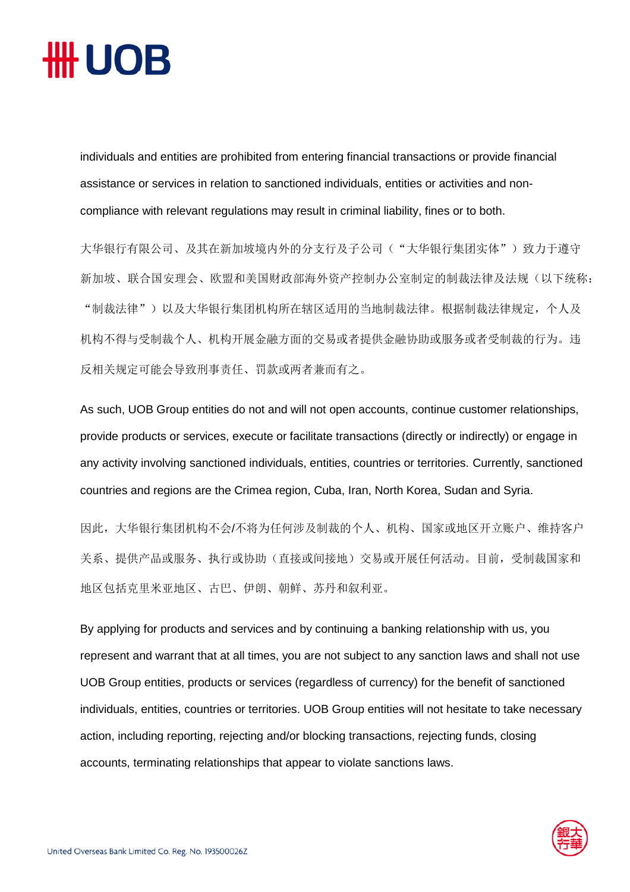## ₩ UOB

individuals and entities are prohibited from entering financial transactions or provide financial assistance or services in relation to sanctioned individuals, entities or activities and noncompliance with relevant regulations may result in criminal liability, fines or to both.

大华银行有限公司、及其在新加坡境内外的分支行及子公司("大华银行集团实体")致力于遵守 新加坡、联合国安理会、欧盟和美国财政部海外资产控制办公室制定的制裁法律及法规(以下统称: "制裁法律")以及大华银行集团机构所在辖区适用的当地制裁法律。根据制裁法律规定,个人及 机构不得与受制裁个人、机构开展金融方面的交易或者提供金融协助或服务或者受制裁的行为。违 反相关规定可能会导致刑事责任、罚款或两者兼而有之。

As such, UOB Group entities do not and will not open accounts, continue customer relationships, provide products or services, execute or facilitate transactions (directly or indirectly) or engage in any activity involving sanctioned individuals, entities, countries or territories. Currently, sanctioned countries and regions are the Crimea region, Cuba, Iran, North Korea, Sudan and Syria.

因此,大华银行集团机构不会/不将为任何涉及制裁的个人、机构、国家或地区开立账户、维持客户 关系、提供产品或服务、执行或协助(直接或间接地)交易或开展任何活动。目前,受制裁国家和 地区包括克里米亚地区、古巴、伊朗、朝鲜、苏丹和叙利亚。

By applying for products and services and by continuing a banking relationship with us, you represent and warrant that at all times, you are not subject to any sanction laws and shall not use UOB Group entities, products or services (regardless of currency) for the benefit of sanctioned individuals, entities, countries or territories. UOB Group entities will not hesitate to take necessary action, including reporting, rejecting and/or blocking transactions, rejecting funds, closing accounts, terminating relationships that appear to violate sanctions laws.